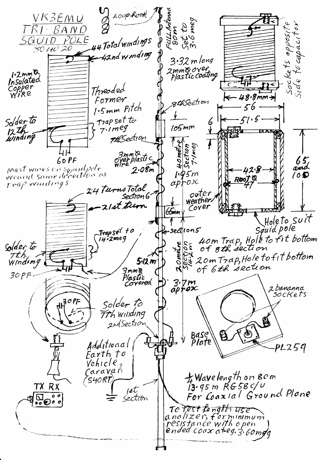Loop Rook VK3EMU FULLANT<br>SOM<br>Set to<br>3.6 meg TRI-BAND focapacitor Sockets opposit<br>Side tecnorito 44 Total windings SQUID POLE 80 40 20  $-4$ 2nd w  $m$ d mg  $3.32$  m long zmm©over<br>Plastic coating 1.2 mm & Copper<br>Wire Threoded  $48.8$  mm > Former. gthSection 1.5mm Pitch  $56$ Solder to Trap set to 6<br>V  $105$ mm  $7.1$ meg 12th<br>winding **Th**Section HOmetre<br>Section 3mm&<br>oyerplastic<br>wire  $60P$ F  $65/$ prast wines on squad pole  $2.08m$ 428  $1.45m$ 10D RooJ Q  $ap\}$ ox trap windings 24 TurnsTotal outer<br>weather Sectron G 21st turn Cover  $65$ mm Holeto suit<br>Squid pole 7 Trapset to<br>14.2meg sectlon5 40m Trap, Hole to fit bottom West of sth section<br>Evit 20m Trap, Hole to fit bottom Solder to Tth<br>Windowg 5·12 m 3mmie<br>Plastic<br>Corvered  $30PF$  $\frac{3}{2}$ 2 bananna sockets  $3$ OPF Solder to 77h winding 自 2nd Section Ò Base\<br>Plate Additional  $PLZ59$ Earth to Vehicle, Caravan #Wavelength on 80m 'SHORT, TX RX  $et$ For Coaxial Ground Plane section To fest fength use analizer, forminimum<br>resistance with open<br>ended coax at eg. 3.60 mgg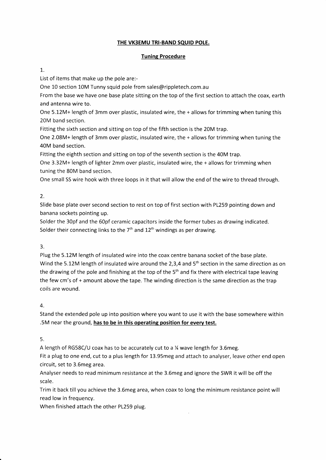## THE VK3EMU TRI-BAND SQUID POLE.

## Tuning Procedure

## 1.

List of items that make up the pole are:-

One 10 section 10M Tunny squid pole from sales@rippletech.com.au

From the base we have one base plate sitting on the top of the first section to attach the coax, earth and antenna wire to.

One 5.12M+ length of 3mm over plastic, insulated wire, the + allows for trimming when tuning this 20M band section,

Fitting the sixth section and sitting on top of the fifth section is the 20M trap.

One 2.08M+ length of 3mm over plastic, insulated wire, the + allows for trimming when tuning the 40M band section.

Fitting the eighth section and sitting on top of the seventh section is the 40M trap.

One 3.32M+ length of lighter 2mm over plastic, insulated wire, the + allows for trimming when tuning the 80M band section.

One small SS wire hook with three loops in it that will allow the end of the wire to thread through.

# 2.

Slide base plate over second section to rest on top of first section with P1259 pointing down and banana sockets pointing up.

Solder the 30pf and the 60pf ceramic capacitors inside the former tubes as drawing indicated. Solder their connecting links to the  $7<sup>th</sup>$  and  $12<sup>th</sup>$  windings as per drawing.

# 3.

Plug the 5.12M length of insulated wire into the coax centre banana socket of the base plate. Wind the 5.12M length of insulated wire around the 2,3,4 and 5<sup>th</sup> section in the same direction as on the drawing of the pole and finishing at the top of the 5<sup>th</sup> and fix there with electrical tape leaving the few cm's of + amount above the tape. The winding direction is the same direction as the trap coils are wound.

# 4.

Stand the extended pole up into position where you want to use it with the base somewhere within .5M near the ground, has to be in this operating position for every test.

# 5.

A length of RG58C/U coax has to be accurately cut to a % wave length for 3.6meg.

Fit a plug to one end, cut to a plus length for 13.95meg and attach to analyser, leave other end open circuit, set to 3.6meg area.

Analyser needs to read minimum resistance at the 3.6meg and ignore the SWR it will be off the scale.

Trim it back till you achieve the 3.6meg area, when coax to long the minimum resistance point will read low in frequency.

When finished attach the other PL259 plug.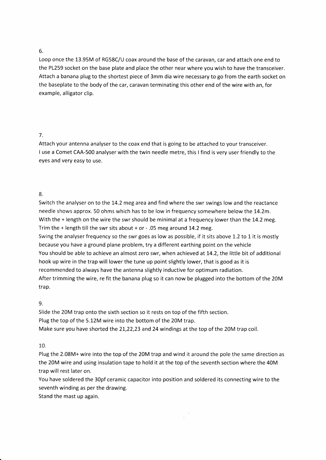#### 6.

Loop once the 13.95M of RGS8C/U coax around the base of the caravan, car and attach one end to the P1259 socket on the base plate and place the other near where you wish to have the transceiver. Attach a banana plug to the shortest piece of 3mm dia wire necessary to go from the earth socket on the baseplate to the body of the car, caravan terminating this other end of the wire with an, for example, alligator clip.

### 7.

Attach your antenna analyser to the coax end that is going to be attached to your transceiver. I use a Comet CAA-500 analyser with the twin needle metre, this I find is very user friendly to the eyes and very easy to use.

### 8.

Switch the analyser on to the 14.2 meg area and find where the swr swings low and the reactance needle shows approx. 50 ohms which has to be low in frequency somewhere below the 14.2m. With the  $+$  length on the wire the swr should be minimal at a frequency lower than the 14.2 meg. Trim the + length till the swr sits about + or  $-$  .05 meg around 14.2 meg. Swing the analyser frequency so the swr goes as low as possible, if it sits above 1.2 to 1 it is mostly because you have a ground plane problem, try a different earthing point on the vehicle You should be able to achieve an almost zero swr, when achieved at 14.2, the little bit of additional hook up wire in the trap will lower the tune up point slightly lower, that is good as it is recommended to always have the antenna slightly inductive for optimum radiation. After trimming the wire, re fit the banana plug so it can now be plugged into the bottom of the 20M trap.

#### 9.

Slide the 20M trap onto the sixth section so it rests on top of the fifth section. Plug the top of the 5.12M wire into the bottom of the 20M trap. Make sure you have shorted the 21,22,23 and 24 windings at the top of the 20M trap coil.

## 10.

Plug the 2.08M+ wire into the top of the 20M trap and wind it around the pole the same direction as the 20M wire and using insulation tape to hold it at the top of the seventh section where the 40M trap will rest later on.

You have soldered the 30pf ceramic capacitor into position and soldered its connecting wire to the seventh winding as per the drawing.

Stand the mast up again.